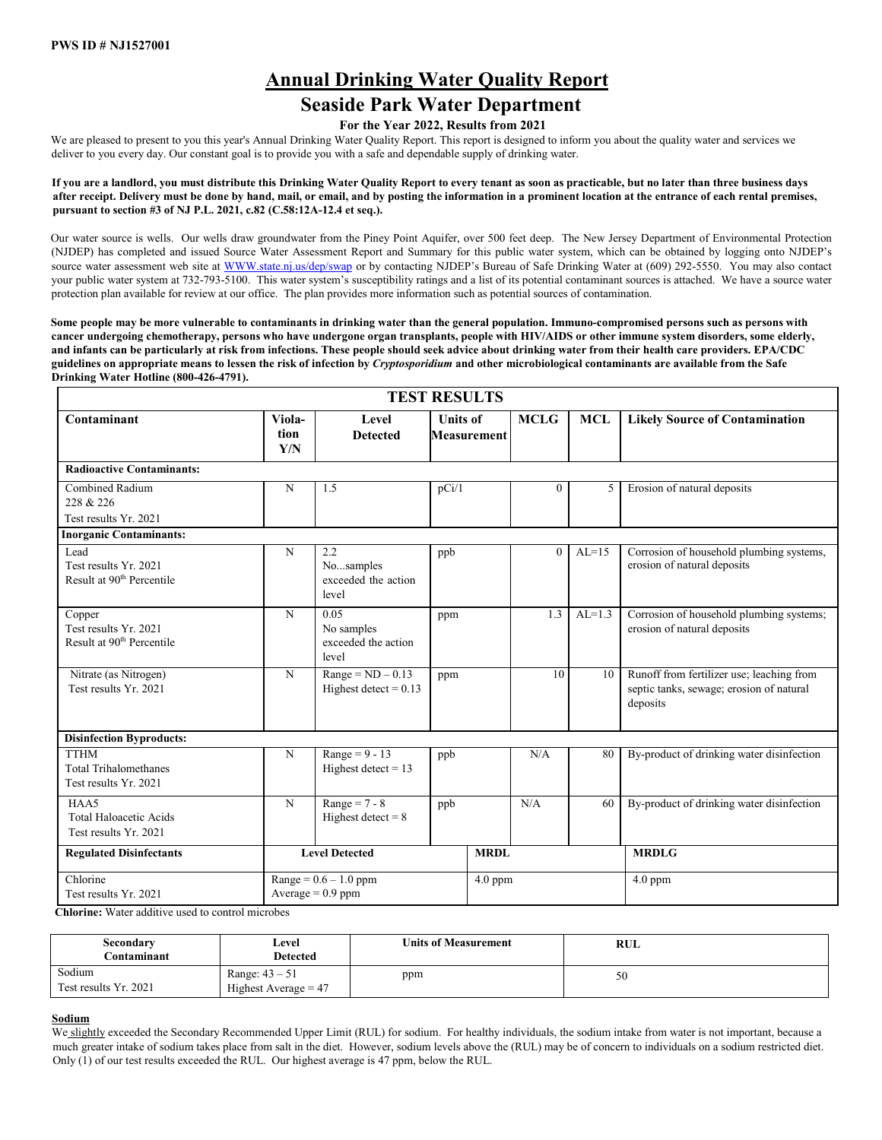# **Annual Drinking Water Quality Report**

## **Seaside Park Water Department**

## **For the Year 2022, Results from 2021**

We are pleased to present to you this year's Annual Drinking Water Quality Report. This report is designed to inform you about the quality water and services we deliver to you every day. Our constant goal is to provide you with a safe and dependable supply of drinking water.

**If you are a landlord, you must distribute this Drinking Water Quality Report to every tenant as soon as practicable, but no later than three business days after receipt. Delivery must be done by hand, mail, or email, and by posting the information in a prominent location at the entrance of each rental premises, pursuant to section #3 of NJ P.L. 2021, c.82 (C.58:12A-12.4 et seq.).** 

Our water source is wells. Our wells draw groundwater from the Piney Point Aquifer, over 500 feet deep. The New Jersey Department of Environmental Protection (NJDEP) has completed and issued Source Water Assessment Report and Summary for this public water system, which can be obtained by logging onto NJDEP's source water assessment web site [at WWW.state.nj.us/dep/swap](http://www.state.nj.us/dep/swap) [or](http://www.state.nj.us/dep/swap) by contacting NJDEP's Bureau of Safe Drinking Water at (609) 292-5550. You may also contact your public water system at 732-793-5100. This water system's susceptibility ratings and a list of its potential contaminant sources is attached. We have a source water protection plan available for review at our office. The plan provides more information such as potential sources of contamination.

**Some people may be more vulnerable to contaminants in drinking water than the general population. Immuno-compromised persons such as persons with cancer undergoing chemotherapy, persons who have undergone organ transplants, people with HIV/AIDS or other immune system disorders, some elderly, and infants can be particularly at risk from infections. These people should seek advice about drinking water from their health care providers. EPA/CDC guidelines on appropriate means to lessen the risk of infection by** *Cryptosporidium* **and other microbiological contaminants are available from the Safe Drinking Water Hotline (800-426-4791).** 

|                                                                          | <b>TEST RESULTS</b>   |                                                    |                                       |             |                |            |                                                                                                   |  |  |  |  |  |  |  |
|--------------------------------------------------------------------------|-----------------------|----------------------------------------------------|---------------------------------------|-------------|----------------|------------|---------------------------------------------------------------------------------------------------|--|--|--|--|--|--|--|
| Contaminant                                                              | Viola-<br>tion<br>Y/N | Level<br><b>Detected</b>                           | <b>Units of</b><br><b>Measurement</b> |             | <b>MCLG</b>    | <b>MCL</b> | <b>Likely Source of Contamination</b>                                                             |  |  |  |  |  |  |  |
| <b>Radioactive Contaminants:</b>                                         |                       |                                                    |                                       |             |                |            |                                                                                                   |  |  |  |  |  |  |  |
| Combined Radium<br>228 & 226                                             | N                     | 1.5                                                | pCi/1                                 |             | $\overline{0}$ | 5          | Erosion of natural deposits                                                                       |  |  |  |  |  |  |  |
| Test results Yr. 2021                                                    |                       |                                                    |                                       |             |                |            |                                                                                                   |  |  |  |  |  |  |  |
| <b>Inorganic Contaminants:</b>                                           |                       |                                                    |                                       |             |                |            |                                                                                                   |  |  |  |  |  |  |  |
| Lead<br>Test results Yr. 2021<br>Result at 90 <sup>th</sup> Percentile   | N                     | 2.2<br>Nosamples<br>exceeded the action<br>level   | ppb                                   |             | $\Omega$       | $AL=15$    | Corrosion of household plumbing systems,<br>erosion of natural deposits                           |  |  |  |  |  |  |  |
| Copper<br>Test results Yr. 2021<br>Result at 90 <sup>th</sup> Percentile | N                     | 0.05<br>No samples<br>exceeded the action<br>level | ppm                                   |             | 1.3            | $AL=1.3$   | Corrosion of household plumbing systems;<br>erosion of natural deposits                           |  |  |  |  |  |  |  |
| Nitrate (as Nitrogen)<br>Test results Yr. 2021                           | N                     | $Range = ND - 0.13$<br>Highest detect = $0.13$     | ppm                                   |             | 10             | 10         | Runoff from fertilizer use; leaching from<br>septic tanks, sewage; erosion of natural<br>deposits |  |  |  |  |  |  |  |
| <b>Disinfection Byproducts:</b>                                          |                       |                                                    |                                       |             |                |            |                                                                                                   |  |  |  |  |  |  |  |
| <b>TTHM</b><br><b>Total Trihalomethanes</b><br>Test results Yr. 2021     | N                     | Range = $9 - 13$<br>Highest detect $= 13$          | ppb                                   |             | N/A            | 80         | By-product of drinking water disinfection                                                         |  |  |  |  |  |  |  |
| HAA5<br><b>Total Haloacetic Acids</b><br>Test results Yr. 2021           | $\overline{N}$        | Range = $7 - 8$<br>Highest detect $= 8$            | ppb                                   |             | N/A            | 60         | By-product of drinking water disinfection                                                         |  |  |  |  |  |  |  |
| <b>Regulated Disinfectants</b>                                           |                       | <b>Level Detected</b>                              |                                       | <b>MRDL</b> |                |            | <b>MRDLG</b>                                                                                      |  |  |  |  |  |  |  |
| Chlorine<br>Test results Yr. 2021                                        |                       | $Range = 0.6 - 1.0$ ppm<br>Average = $0.9$ ppm     |                                       | $4.0$ ppm   |                |            | $4.0$ ppm                                                                                         |  |  |  |  |  |  |  |

 **Chlorine:** Water additive used to control microbes

| Secondary<br>Contaminant        | ∟evel<br>Detected                          | <b>Units of Measurement</b> | RUL |  |
|---------------------------------|--------------------------------------------|-----------------------------|-----|--|
| Sodium<br>Test results Yr. 2021 | Range: $43 - 51$<br>Highest Average $= 47$ | ppm                         | 50  |  |

## **Sodium**

We slightly exceeded the Secondary Recommended Upper Limit (RUL) for sodium. For healthy individuals, the sodium intake from water is not important, because a much greater intake of sodium takes place from salt in the diet. However, sodium levels above the (RUL) may be of concern to individuals on a sodium restricted diet. Only (1) of our test results exceeded the RUL. Our highest average is 47 ppm, below the RUL.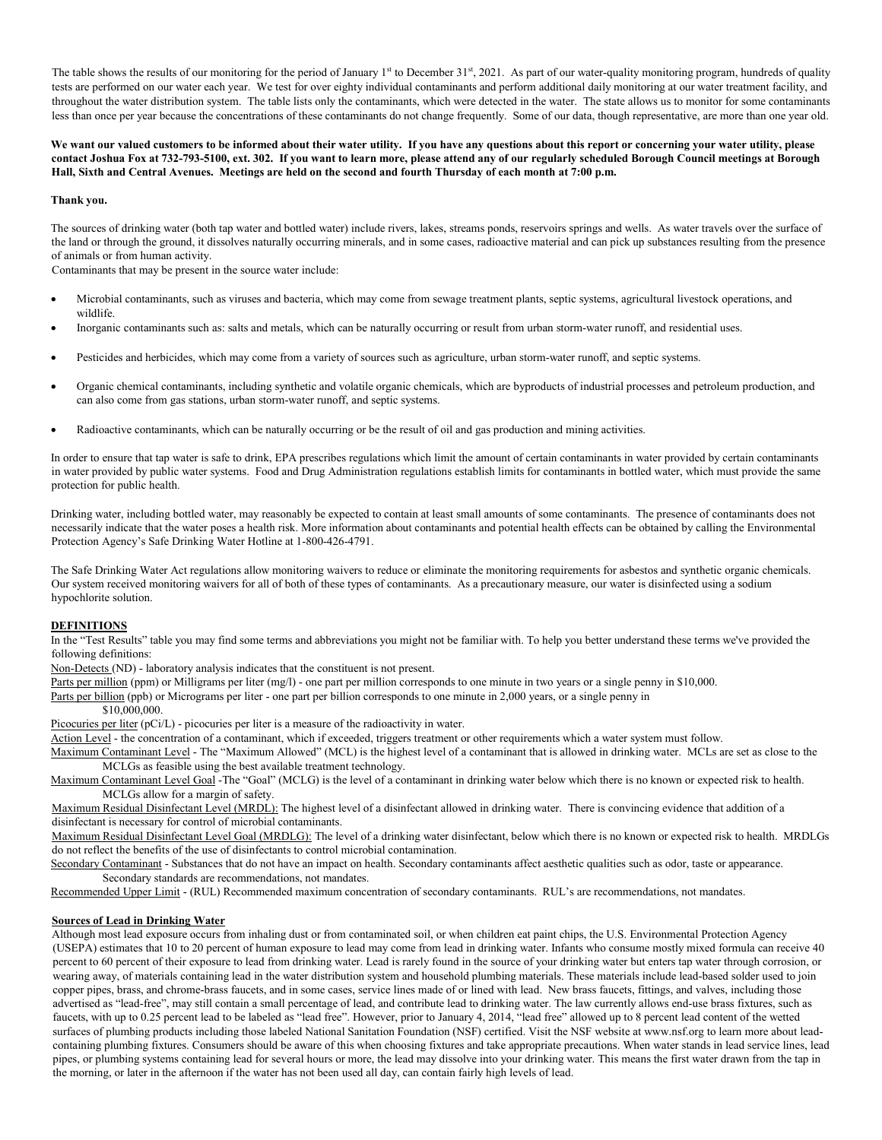The table shows the results of our monitoring for the period of January 1<sup>st</sup> to December 31<sup>st</sup>, 2021. As part of our water-quality monitoring program, hundreds of quality tests are performed on our water each year. We test for over eighty individual contaminants and perform additional daily monitoring at our water treatment facility, and throughout the water distribution system. The table lists only the contaminants, which were detected in the water. The state allows us to monitor for some contaminants less than once per year because the concentrations of these contaminants do not change frequently. Some of our data, though representative, are more than one year old.

**We want our valued customers to be informed about their water utility. If you have any questions about this report or concerning your water utility, please contact Joshua Fox at 732-793-5100, ext. 302. If you want to learn more, please attend any of our regularly scheduled Borough Council meetings at Borough Hall, Sixth and Central Avenues. Meetings are held on the second and fourth Thursday of each month at 7:00 p.m.**

#### **Thank you.**

The sources of drinking water (both tap water and bottled water) include rivers, lakes, streams ponds, reservoirs springs and wells. As water travels over the surface of the land or through the ground, it dissolves naturally occurring minerals, and in some cases, radioactive material and can pick up substances resulting from the presence of animals or from human activity.

Contaminants that may be present in the source water include:

- Microbial contaminants, such as viruses and bacteria, which may come from sewage treatment plants, septic systems, agricultural livestock operations, and wildlife.
- Inorganic contaminants such as: salts and metals, which can be naturally occurring or result from urban storm-water runoff, and residential uses.
- Pesticides and herbicides, which may come from a variety of sources such as agriculture, urban storm-water runoff, and septic systems.
- Organic chemical contaminants, including synthetic and volatile organic chemicals, which are byproducts of industrial processes and petroleum production, and can also come from gas stations, urban storm-water runoff, and septic systems.
- Radioactive contaminants, which can be naturally occurring or be the result of oil and gas production and mining activities.

In order to ensure that tap water is safe to drink, EPA prescribes regulations which limit the amount of certain contaminants in water provided by certain contaminants in water provided by public water systems. Food and Drug Administration regulations establish limits for contaminants in bottled water, which must provide the same protection for public health.

Drinking water, including bottled water, may reasonably be expected to contain at least small amounts of some contaminants. The presence of contaminants does not necessarily indicate that the water poses a health risk. More information about contaminants and potential health effects can be obtained by calling the Environmental Protection Agency's Safe Drinking Water Hotline at 1-800-426-4791.

The Safe Drinking Water Act regulations allow monitoring waivers to reduce or eliminate the monitoring requirements for asbestos and synthetic organic chemicals. Our system received monitoring waivers for all of both of these types of contaminants. As a precautionary measure, our water is disinfected using a sodium hypochlorite solution.

#### **DEFINITIONS**

In the "Test Results" table you may find some terms and abbreviations you might not be familiar with. To help you better understand these terms we've provided the following definitions:

Non-Detects (ND) - laboratory analysis indicates that the constituent is not present.

Parts per million (ppm) or Milligrams per liter (mg/l) - one part per million corresponds to one minute in two years or a single penny in \$10,000.

Parts per billion (ppb) or Micrograms per liter - one part per billion corresponds to one minute in 2,000 years, or a single penny in

\$10,000,000.

Picocuries per liter (pCi/L) - picocuries per liter is a measure of the radioactivity in water.

Action Level - the concentration of a contaminant, which if exceeded, triggers treatment or other requirements which a water system must follow.

Maximum Contaminant Level - The "Maximum Allowed" (MCL) is the highest level of a contaminant that is allowed in drinking water. MCLs are set as close to the MCLGs as feasible using the best available treatment technology.

Maximum Contaminant Level Goal -The "Goal" (MCLG) is the level of a contaminant in drinking water below which there is no known or expected risk to health. MCLGs allow for a margin of safety.

 Maximum Residual Disinfectant Level (MRDL): The highest level of a disinfectant allowed in drinking water. There is convincing evidence that addition of a disinfectant is necessary for control of microbial contaminants.

 Maximum Residual Disinfectant Level Goal (MRDLG): The level of a drinking water disinfectant, below which there is no known or expected risk to health. MRDLGs do not reflect the benefits of the use of disinfectants to control microbial contamination.

Secondary Contaminant - Substances that do not have an impact on health. Secondary contaminants affect aesthetic qualities such as odor, taste or appearance. Secondary standards are recommendations, not mandates.

Recommended Upper Limit - (RUL) Recommended maximum concentration of secondary contaminants. RUL's are recommendations, not mandates.

#### **Sources of Lead in Drinking Water**

Although most lead exposure occurs from inhaling dust or from contaminated soil, or when children eat paint chips, the U.S. Environmental Protection Agency (USEPA) estimates that 10 to 20 percent of human exposure to lead may come from lead in drinking water. Infants who consume mostly mixed formula can receive 40 percent to 60 percent of their exposure to lead from drinking water. Lead is rarely found in the source of your drinking water but enters tap water through corrosion, or wearing away, of materials containing lead in the water distribution system and household plumbing materials. These materials include lead-based solder used to join copper pipes, brass, and chrome-brass faucets, and in some cases, service lines made of or lined with lead. New brass faucets, fittings, and valves, including those advertised as "lead-free", may still contain a small percentage of lead, and contribute lead to drinking water. The law currently allows end-use brass fixtures, such as faucets, with up to 0.25 percent lead to be labeled as "lead free". However, prior to January 4, 2014, "lead free" allowed up to 8 percent lead content of the wetted surfaces of plumbing products including those labeled National Sanitation Foundation (NSF) certified. Visit the NSF website at www.nsf.org to learn more about leadcontaining plumbing fixtures. Consumers should be aware of this when choosing fixtures and take appropriate precautions. When water stands in lead service lines, lead pipes, or plumbing systems containing lead for several hours or more, the lead may dissolve into your drinking water. This means the first water drawn from the tap in the morning, or later in the afternoon if the water has not been used all day, can contain fairly high levels of lead.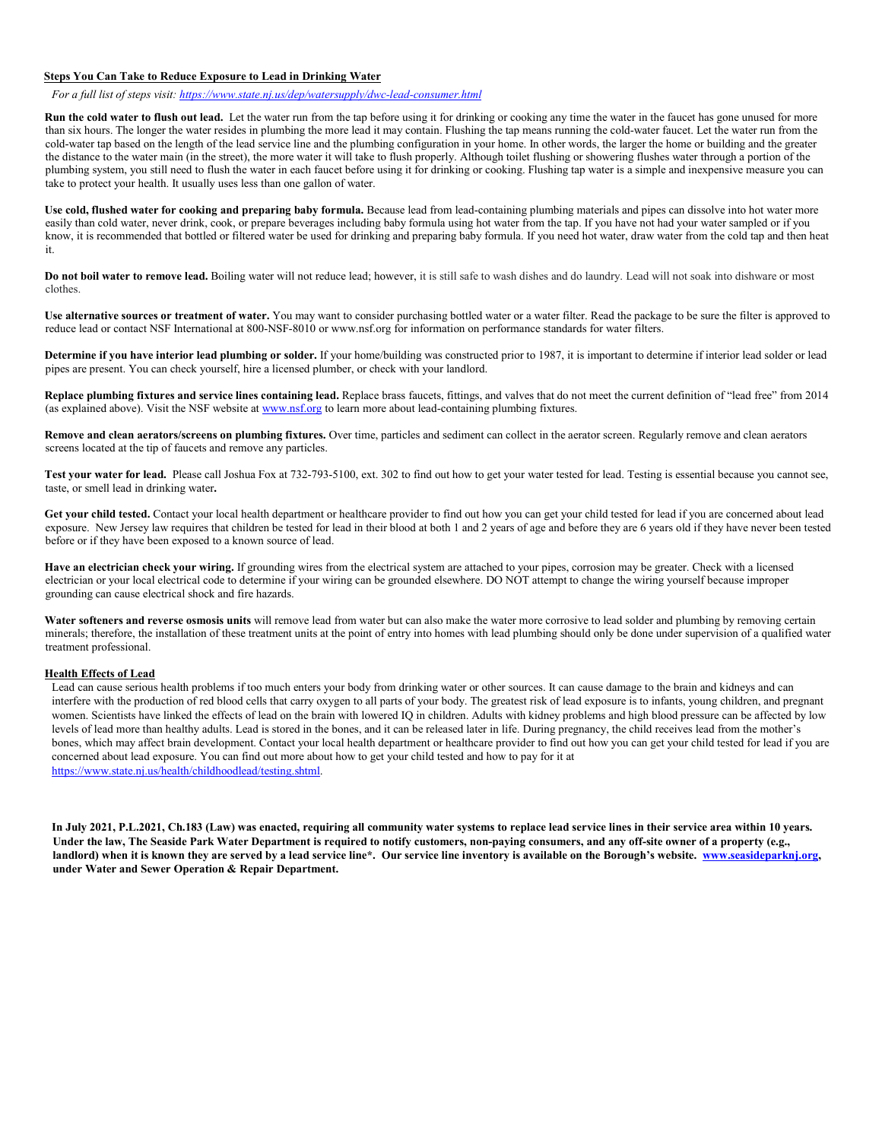#### **Steps You Can Take to Reduce Exposure to Lead in Drinking Water**

*For a full list of steps visit[: https://www.state.nj.us/dep/watersupply/dwc-lead-consumer.html](https://www.state.nj.us/dep/watersupply/dwc-lead-consumer.html)*

**Run the cold water to flush out lead.** Let the water run from the tap before using it for drinking or cooking any time the water in the faucet has gone unused for more than six hours. The longer the water resides in plumbing the more lead it may contain. Flushing the tap means running the cold-water faucet. Let the water run from the cold-water tap based on the length of the lead service line and the plumbing configuration in your home. In other words, the larger the home or building and the greater the distance to the water main (in the street), the more water it will take to flush properly. Although toilet flushing or showering flushes water through a portion of the plumbing system, you still need to flush the water in each faucet before using it for drinking or cooking. Flushing tap water is a simple and inexpensive measure you can take to protect your health. It usually uses less than one gallon of water.

**Use cold, flushed water for cooking and preparing baby formula.** Because lead from lead-containing plumbing materials and pipes can dissolve into hot water more easily than cold water, never drink, cook, or prepare beverages including baby formula using hot water from the tap. If you have not had your water sampled or if you know, it is recommended that bottled or filtered water be used for drinking and preparing baby formula. If you need hot water, draw water from the cold tap and then heat it.

**Do not boil water to remove lead.** Boiling water will not reduce lead; however, it is still safe to wash dishes and do laundry. Lead will not soak into dishware or most clothes.

**Use alternative sources or treatment of water.** You may want to consider purchasing bottled water or a water filter. Read the package to be sure the filter is approved to reduce lead or contact NSF International at 800-NSF-8010 o[r www.nsf.org f](http://www.nsf.org/)or information on performance standards for water filters.

**Determine if you have interior lead plumbing or solder.** If your home/building was constructed prior to 1987, it is important to determine if interior lead solder or lead pipes are present. You can check yourself, hire a licensed plumber, or check with your landlord.

**Replace plumbing fixtures and service lines containing lead.** Replace brass faucets, fittings, and valves that do not meet the current definition of "lead free" from 2014 (as explained above). Visit the NSF website at [www.nsf.org t](http://www.nsf.org/)o learn more about lead-containing plumbing fixtures.

Remove and clean aerators/screens on plumbing fixtures. Over time, particles and sediment can collect in the aerator screen. Regularly remove and clean aerators screens located at the tip of faucets and remove any particles.

**Test your water for lead.** Please call Joshua Fox at 732-793-5100, ext. 302 to find out how to get your water tested for lead. Testing is essential because you cannot see, taste, or smell lead in drinking water**.** 

**Get your child tested.** Contact your local health department or healthcare provider to find out how you can get your child tested for lead if you are concerned about lead exposure. New Jersey law requires that children be tested for lead in their blood at both 1 and 2 years of age and before they are 6 years old if they have never been tested before or if they have been exposed to a known source of lead.

**Have an electrician check your wiring.** If grounding wires from the electrical system are attached to your pipes, corrosion may be greater. Check with a licensed electrician or your local electrical code to determine if your wiring can be grounded elsewhere. DO NOT attempt to change the wiring yourself because improper grounding can cause electrical shock and fire hazards.

Water softeners and reverse osmosis units will remove lead from water but can also make the water more corrosive to lead solder and plumbing by removing certain minerals; therefore, the installation of these treatment units at the point of entry into homes with lead plumbing should only be done under supervision of a qualified water treatment professional.

## **Health Effects of Lead**

Lead can cause serious health problems if too much enters your body from drinking water or other sources. It can cause damage to the brain and kidneys and can interfere with the production of red blood cells that carry oxygen to all parts of your body. The greatest risk of lead exposure is to infants, young children, and pregnant women. Scientists have linked the effects of lead on the brain with lowered IQ in children. Adults with kidney problems and high blood pressure can be affected by low levels of lead more than healthy adults. Lead is stored in the bones, and it can be released later in life. During pregnancy, the child receives lead from the mother's bones, which may affect brain development. Contact your local health department or healthcare provider to find out how you can get your child tested for lead if you are concerned about lead exposure. You can find out more about how to get your child tested and how to pay for it at [https://www.state.nj.us/health/childhoodlead/testing.shtml.](https://www.state.nj.us/health/childhoodlead/testing.shtml) 

**In July 2021, P.L.2021, Ch.183 (Law) was enacted, requiring all community water systems to replace lead service lines in their service area within 10 years. Under the law, The Seaside Park Water Department is required to notify customers, non-paying consumers, and any off-site owner of a property (e.g.,**  landlord) when it is known they are served by a lead service line\*. Our service line inventory is available on the Borough's website. *www.seasideparknj.org*, **under Water and Sewer Operation & Repair Department.**